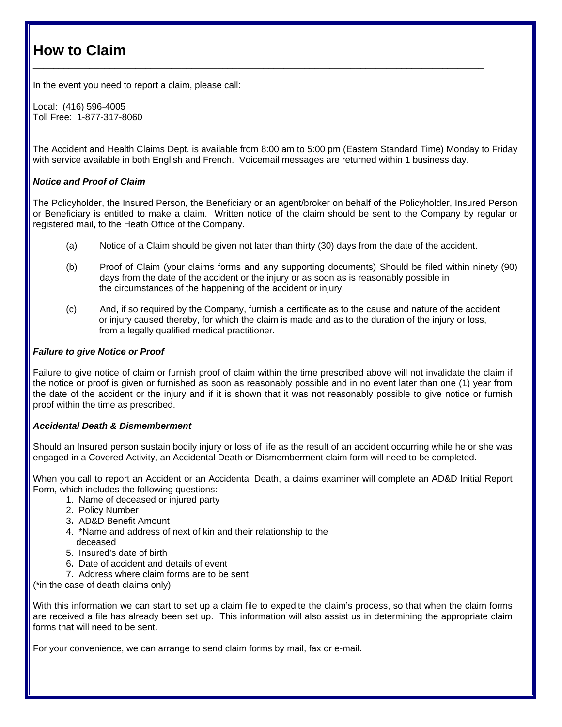# **How to Claim**

In the event you need to report a claim, please call:

Local: (416) 596-4005 Toll Free: 1-877-317-8060

The Accident and Health Claims Dept. is available from 8:00 am to 5:00 pm (Eastern Standard Time) Monday to Friday with service available in both English and French. Voicemail messages are returned within 1 business day.

\_\_\_\_\_\_\_\_\_\_\_\_\_\_\_\_\_\_\_\_\_\_\_\_\_\_\_\_\_\_\_\_\_\_\_\_\_\_\_\_\_\_\_\_\_\_\_\_\_\_\_\_\_\_\_\_\_\_\_\_\_\_\_\_\_\_\_\_\_\_\_\_\_\_\_\_\_\_\_\_\_\_\_\_\_\_\_\_

## *Notice and Proof of Claim*

The Policyholder, the Insured Person, the Beneficiary or an agent/broker on behalf of the Policyholder, Insured Person or Beneficiary is entitled to make a claim. Written notice of the claim should be sent to the Company by regular or registered mail, to the Heath Office of the Company.

- (a) Notice of a Claim should be given not later than thirty (30) days from the date of the accident.
- (b) Proof of Claim (your claims forms and any supporting documents) Should be filed within ninety (90) days from the date of the accident or the injury or as soon as is reasonably possible in the circumstances of the happening of the accident or injury.
- (c) And, if so required by the Company, furnish a certificate as to the cause and nature of the accident or injury caused thereby, for which the claim is made and as to the duration of the injury or loss, from a legally qualified medical practitioner.

### *Failure to give Notice or Proof*

Failure to give notice of claim or furnish proof of claim within the time prescribed above will not invalidate the claim if the notice or proof is given or furnished as soon as reasonably possible and in no event later than one (1) year from the date of the accident or the injury and if it is shown that it was not reasonably possible to give notice or furnish proof within the time as prescribed.

#### *Accidental Death & Dismemberment*

Should an Insured person sustain bodily injury or loss of life as the result of an accident occurring while he or she was engaged in a Covered Activity, an Accidental Death or Dismemberment claim form will need to be completed.

When you call to report an Accident or an Accidental Death, a claims examiner will complete an AD&D Initial Report Form, which includes the following questions:

- 1. Name of deceased or injured party
- 2. Policy Number
- 3**.** AD&D Benefit Amount
- 4.\*Name and address of next of kin and their relationship to the deceased
- 5.Insured's date of birth
- 6**.** Date of accident and details of event
- 7. Address where claim forms are to be sent

(\*in the case of death claims only)

With this information we can start to set up a claim file to expedite the claim's process, so that when the claim forms are received a file has already been set up. This information will also assist us in determining the appropriate claim forms that will need to be sent.

For your convenience, we can arrange to send claim forms by mail, fax or e-mail.